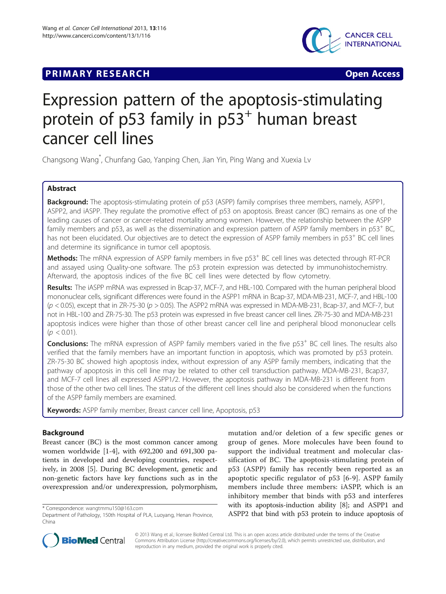



# Expression pattern of the apoptosis-stimulating protein of  $p53$  family in  $p53<sup>+</sup>$  human breast cancer cell lines

Changsong Wang\* , Chunfang Gao, Yanping Chen, Jian Yin, Ping Wang and Xuexia Lv

# Abstract

Background: The apoptosis-stimulating protein of p53 (ASPP) family comprises three members, namely, ASPP1, ASPP2, and iASPP. They regulate the promotive effect of p53 on apoptosis. Breast cancer (BC) remains as one of the leading causes of cancer or cancer-related mortality among women. However, the relationship between the ASPP family members and p53, as well as the dissemination and expression pattern of ASPP family members in p53<sup>+</sup> BC, has not been elucidated. Our objectives are to detect the expression of ASPP family members in p53<sup>+</sup> BC cell lines and determine its significance in tumor cell apoptosis.

Methods: The mRNA expression of ASPP family members in five p53<sup>+</sup> BC cell lines was detected through RT-PCR and assayed using Quality-one software. The p53 protein expression was detected by immunohistochemistry. Afterward, the apoptosis indices of the five BC cell lines were detected by flow cytometry.

Results: The iASPP mRNA was expressed in Bcap-37, MCF-7, and HBL-100. Compared with the human peripheral blood mononuclear cells, significant differences were found in the ASPP1 mRNA in Bcap-37, MDA-MB-231, MCF-7, and HBL-100  $(p < 0.05)$ , except that in ZR-75-30  $(p > 0.05)$ . The ASPP2 mRNA was expressed in MDA-MB-231, Bcap-37, and MCF-7, but not in HBL-100 and ZR-75-30. The p53 protein was expressed in five breast cancer cell lines. ZR-75-30 and MDA-MB-231 apoptosis indices were higher than those of other breast cancer cell line and peripheral blood mononuclear cells  $(p < 0.01)$ .

**Conclusions:** The mRNA expression of ASPP family members varied in the five p53<sup>+</sup> BC cell lines. The results also verified that the family members have an important function in apoptosis, which was promoted by p53 protein. ZR-75-30 BC showed high apoptosis index, without expression of any ASPP family members, indicating that the pathway of apoptosis in this cell line may be related to other cell transduction pathway. MDA-MB-231, Bcap37, and MCF-7 cell lines all expressed ASPP1/2. However, the apoptosis pathway in MDA-MB-231 is different from those of the other two cell lines. The status of the different cell lines should also be considered when the functions of the ASPP family members are examined.

Keywords: ASPP family member, Breast cancer cell line, Apoptosis, p53

# Background

Breast cancer (BC) is the most common cancer among women worldwide [[1-4](#page-5-0)], with 692,200 and 691,300 patients in developed and developing countries, respectively, in 2008 [[5\]](#page-5-0). During BC development, genetic and non-genetic factors have key functions such as in the overexpression and/or underexpression, polymorphism,

mutation and/or deletion of a few specific genes or group of genes. More molecules have been found to support the individual treatment and molecular classification of BC. The apoptosis-stimulating protein of p53 (ASPP) family has recently been reported as an apoptotic specific regulator of p53 [[6-9](#page-5-0)]. ASPP family members include three members: iASPP, which is an inhibitory member that binds with p53 and interferes with its apoptosis-induction ability [[8\]](#page-5-0); and ASPP1 and \* Correspondence: [wangtmmu150@163.com](mailto:wangtmmu150@163.com) **ASPP2 to the summunity of the summunity of the summunity of the summunity**<br>Department of Pathology, 150th Hospital of PLA, Luoyang, Henan Province, **ASPP2 that bind with p53 protein t** 



© 2013 Wang et al.; licensee BioMed Central Ltd. This is an open access article distributed under the terms of the Creative Commons Attribution License [\(http://creativecommons.org/licenses/by/2.0\)](http://creativecommons.org/licenses/by/2.0), which permits unrestricted use, distribution, and reproduction in any medium, provided the original work is properly cited.

Department of Pathology, 150th Hospital of PLA, Luoyang, Henan Province, China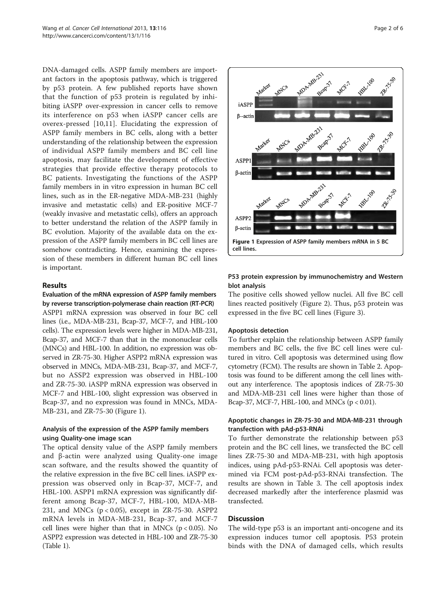DNA-damaged cells. ASPP family members are important factors in the apoptosis pathway, which is triggered by p53 protein. A few published reports have shown that the function of p53 protein is regulated by inhibiting iASPP over-expression in cancer cells to remove its interference on p53 when iASPP cancer cells are overex-pressed [\[10](#page-5-0),[11\]](#page-5-0). Elucidating the expression of ASPP family members in BC cells, along with a better understanding of the relationship between the expression of individual ASPP family members and BC cell line apoptosis, may facilitate the development of effective strategies that provide effective therapy protocols to BC patients. Investigating the functions of the ASPP family members in in vitro expression in human BC cell lines, such as in the ER-negative MDA-MB-231 (highly invasive and metastatic cells) and ER-positive MCF-7 (weakly invasive and metastatic cells), offers an approach to better understand the relation of the ASPP family in BC evolution. Majority of the available data on the expression of the ASPP family members in BC cell lines are somehow contradicting. Hence, examining the expression of these members in different human BC cell lines is important.

# Results

# Evaluation of the mRNA expression of ASPP family members by reverse transcription-polymerase chain reaction (RT-PCR)

ASPP1 mRNA expression was observed in four BC cell lines (i.e., MDA-MB-231, Bcap-37, MCF-7, and HBL-100 cells). The expression levels were higher in MDA-MB-231, Bcap-37, and MCF-7 than that in the mononuclear cells (MNCs) and HBL-100. In addition, no expression was observed in ZR-75-30. Higher ASPP2 mRNA expression was observed in MNCs, MDA-MB-231, Bcap-37, and MCF-7, but no ASSP2 expression was observed in HBL-100 and ZR-75-30. iASPP mRNA expression was observed in MCF-7 and HBL-100, slight expression was observed in Bcap-37, and no expression was found in MNCs, MDA-MB-231, and ZR-75-30 (Figure 1).

# Analysis of the expression of the ASPP family members using Quality-one image scan

The optical density value of the ASPP family members and β-actin were analyzed using Quality-one image scan software, and the results showed the quantity of the relative expression in the five BC cell lines. iASPP expression was observed only in Bcap-37, MCF-7, and HBL-100. ASPP1 mRNA expression was significantly different among Bcap-37, MCF-7, HBL-100, MDA-MB-231, and MNCs  $(p < 0.05)$ , except in ZR-75-30. ASPP2 mRNA levels in MDA-MB-231, Bcap-37, and MCF-7 cell lines were higher than that in MNCs ( $p < 0.05$ ). No ASPP2 expression was detected in HBL-100 and ZR-75-30 (Table [1\)](#page-2-0).



# P53 protein expression by immunochemistry and Western blot analysis

The positive cells showed yellow nuclei. All five BC cell lines reacted positively (Figure [2\)](#page-2-0). Thus, p53 protein was expressed in the five BC cell lines (Figure [3](#page-3-0)).

#### Apoptosis detection

To further explain the relationship between ASPP family members and BC cells, the five BC cell lines were cultured in vitro. Cell apoptosis was determined using flow cytometry (FCM). The results are shown in Table [2](#page-3-0). Apoptosis was found to be different among the cell lines without any interference. The apoptosis indices of ZR-75-30 and MDA-MB-231 cell lines were higher than those of Bcap-37, MCF-7, HBL-100, and MNCs (p < 0.01).

# Apoptotic changes in ZR-75-30 and MDA-MB-231 through transfection with pAd-p53-RNAi

To further demonstrate the relationship between p53 protein and the BC cell lines, we transfected the BC cell lines ZR-75-30 and MDA-MB-231, with high apoptosis indices, using pAd-p53-RNAi. Cell apoptosis was determined via FCM post-pAd-p53-RNAi transfection. The results are shown in Table [3.](#page-3-0) The cell apoptosis index decreased markedly after the interference plasmid was transfected.

# **Discussion**

The wild-type p53 is an important anti-oncogene and its expression induces tumor cell apoptosis. P53 protein binds with the DNA of damaged cells, which results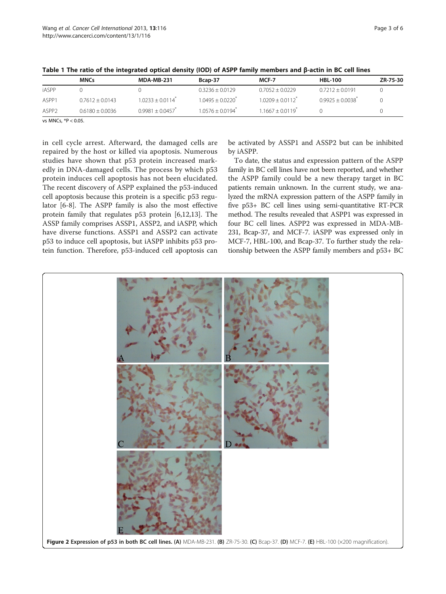|                   | <b>MNCs</b>       | MDA-MB-231                     | Bcap-37                        | MCF-7                          | <b>HBL-100</b>    | ZR-75-30 |
|-------------------|-------------------|--------------------------------|--------------------------------|--------------------------------|-------------------|----------|
| iASPP             |                   |                                | $0.3236 + 0.0129$              | $07052 + 00229$                | $0.7212 + 0.0191$ |          |
| ASPP1             | $0.7612 + 0.0143$ | $1.0233 + 0.0114$ <sup>*</sup> | $1.0495 + 0.0220$              | $1.0209 + 0.0112$ <sup>*</sup> | $0.9925 + 0.0038$ |          |
| ASPP <sub>2</sub> | $0.6180 + 0.0036$ | $0.9981 + 0.0457$              | $1.0576 + 0.0194$ <sup>*</sup> | $1.1667 + 0.0119$ <sup>*</sup> |                   |          |

<span id="page-2-0"></span>Table 1 The ratio of the integrated optical density (IOD) of ASPP family members and β-actin in BC cell lines

vs MNCs, \*P < 0.05.

in cell cycle arrest. Afterward, the damaged cells are repaired by the host or killed via apoptosis. Numerous studies have shown that p53 protein increased markedly in DNA-damaged cells. The process by which p53 protein induces cell apoptosis has not been elucidated. The recent discovery of ASPP explained the p53-induced cell apoptosis because this protein is a specific p53 regulator [\[6](#page-5-0)-[8\]](#page-5-0). The ASPP family is also the most effective protein family that regulates p53 protein [\[6,12,13\]](#page-5-0). The ASSP family comprises ASSP1, ASSP2, and iASPP, which have diverse functions. ASSP1 and ASSP2 can activate p53 to induce cell apoptosis, but iASPP inhibits p53 protein function. Therefore, p53-induced cell apoptosis can be activated by ASSP1 and ASSP2 but can be inhibited by iASPP.

To date, the status and expression pattern of the ASPP family in BC cell lines have not been reported, and whether the ASPP family could be a new therapy target in BC patients remain unknown. In the current study, we analyzed the mRNA expression pattern of the ASPP family in five p53+ BC cell lines using semi-quantitative RT-PCR method. The results revealed that ASPP1 was expressed in four BC cell lines. ASPP2 was expressed in MDA-MB-231, Bcap-37, and MCF-7. iASPP was expressed only in MCF-7, HBL-100, and Bcap-37. To further study the relationship between the ASPP family members and p53+ BC

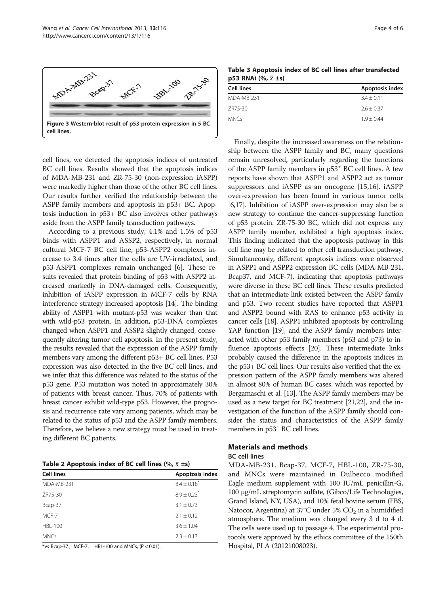<span id="page-3-0"></span>

Table 3 Apoptosis index of BC cell lines after transfected p53 RNAi (%,  $\bar{x}$  ±s)

| <b>Cell lines</b> | Apoptosis index |
|-------------------|-----------------|
| MDA-MB-231        | $3.4 + 0.11$    |
| 7R75-30           | $2.6 + 0.37$    |
| <b>MNCs</b>       | $1.9 + 0.44$    |

cell lines, we detected the apoptosis indices of untreated BC cell lines. Results showed that the apoptosis indices of MDA-MB-231 and ZR-75-30 (non-expression iASPP) were markedly higher than those of the other BC cell lines. Our results further verified the relationship between the ASPP family members and apoptosis in p53+ BC. Apoptosis induction in p53+ BC also involves other pathways aside from the ASPP family transduction pathways.

According to a previous study, 4.1% and 1.5% of p53 binds with ASPP1 and ASSP2, respectively, in normal cultural MCF-7 BC cell line, p53-ASPP2 complexes increase to 3.4 times after the cells are UV-irradiated, and p53-ASPP1 complexes remain unchanged [\[6](#page-5-0)]. These results revealed that protein binding of p53 with ASPP2 increased markedly in DNA-damaged cells. Consequently, inhibition of iASPP expression in MCF-7 cells by RNA interference strategy increased apoptosis [\[14](#page-5-0)]. The binding ability of ASPP1 with mutant-p53 was weaker than that with wild-p53 protein. In addition, p53-DNA complexes changed when ASPP1 and ASSP2 slightly changed, consequently altering tumor cell apoptosis. In the present study, the results revealed that the expression of the ASPP family members vary among the different p53+ BC cell lines. P53 expression was also detected in the five BC cell lines, and we infer that this difference was related to the status of the p53 gene. P53 mutation was noted in approximately 30% of patients with breast cancer. Thus, 70% of patients with breast cancer exhibit wild-type p53. However, the prognosis and recurrence rate vary among patients, which may be related to the status of p53 and the ASPP family members. Therefore, we believe a new strategy must be used in treating different BC patients.

Table 2 Apoptosis index of BC cell lines (%,  $\bar{x}$  ±s)

| <b>Cell lines</b> | Apoptosis index             |
|-------------------|-----------------------------|
| MDA-MB-231        | $8.4 \pm 0.18$              |
| ZR75-30           | $8.9 \pm 0.23$ <sup>*</sup> |
| Bcap-37           | $3.1 + 0.73$                |
| MCF-7             | $2.1 + 0.12$                |
| $HBI - 100$       | $3.6 + 1.04$                |
| <b>MNCs</b>       | $2.3 + 0.13$                |

\*vs Bcap-37、MCF-7、 HBL-100 and MNCs, (P < 0.01).

Finally, despite the increased awareness on the relationship between the ASPP family and BC, many questions remain unresolved, particularly regarding the functions of the ASPP family members in p53<sup>+</sup> BC cell lines. A few reports have shown that ASPP1 and ASPP2 act as tumor suppressors and iASPP as an oncogene [[15,16\]](#page-5-0). iASPP over-expression has been found in various tumor cells [[6,17](#page-5-0)]. Inhibition of iASPP over-expression may also be a new strategy to continue the cancer-suppressing function of p53 protein. ZR-75-30 BC, which did not express any ASPP family member, exhibited a high apoptosis index. This finding indicated that the apoptosis pathway in this cell line may be related to other cell transduction pathway. Simultaneously, different apoptosis indices were observed in ASPP1 and ASPP2 expression BC cells (MDA-MB-231, Bcap37, and MCF-7), indicating that apoptosis pathways were diverse in these BC cell lines. These results predicted that an intermediate link existed between the ASPP family and p53. Two recent studies have reported that ASPP1 and ASPP2 bound with RAS to enhance p53 activity in cancer cells [[18](#page-5-0)]. ASPP1 inhibited apoptosis by controlling YAP function [\[19](#page-5-0)], and the ASPP family members interacted with other p53 family members (p63 and p73) to influence apoptosis effects [\[20\]](#page-5-0). These intermediate links probably caused the difference in the apoptosis indices in the p53+ BC cell lines. Our results also verified that the expression pattern of the ASPP family members was altered in almost 80% of human BC cases, which was reported by Bergamaschi et al. [\[13\]](#page-5-0). The ASPP family members may be used as a new target for BC treatment [[21,22\]](#page-5-0), and the investigation of the function of the ASPP family should consider the status and characteristics of the ASPP family members in  $p53$ <sup>+</sup> BC cell lines.

# Materials and methods

#### BC cell lines

MDA-MB-231, Bcap-37, MCF-7, HBL-100, ZR-75-30, and MNCs were maintained in Dulbecco modified Eagle medium supplement with 100 IU/mL penicillin-G, 100 μg/mL streptomycin sulfate, (Gibco/Life Technologies, Grand Island, NY, USA), and 10% fetal bovine serum (FBS, Natocor, Argentina) at 37°C under 5%  $CO<sub>2</sub>$  in a humidified atmosphere. The medium was changed every 3 d to 4 d. The cells were used up to passage 4. The experimental protocols were approved by the ethics committee of the 150th Hospital, PLA (20121008023).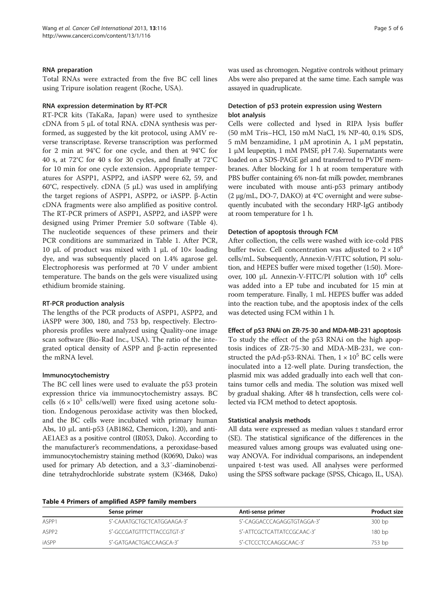#### RNA preparation

Total RNAs were extracted from the five BC cell lines using Tripure isolation reagent (Roche, USA).

#### RNA expression determination by RT-PCR

RT-PCR kits (TaKaRa, Japan) were used to synthesize cDNA from 5 μL of total RNA. cDNA synthesis was performed, as suggested by the kit protocol, using AMV reverse transcriptase. Reverse transcription was performed for 2 min at 94°C for one cycle, and then at 94°C for 40 s, at 72°C for 40 s for 30 cycles, and finally at 72°C for 10 min for one cycle extension. Appropriate temperatures for ASPP1, ASPP2, and iASPP were 62, 59, and 60°C, respectively. cDNA (5  $\mu$ L) was used in amplifying the target regions of ASPP1, ASPP2, or iASPP. β-Actin cDNA fragments were also amplified as positive control. The RT-PCR primers of ASPP1, ASPP2, and iASPP were designed using Primer Premier 5.0 software (Table 4). The nucleotide sequences of these primers and their PCR conditions are summarized in Table [1.](#page-2-0) After PCR, 10 μL of product was mixed with 1 μL of  $10\times$  loading dye, and was subsequently placed on 1.4% agarose gel. Electrophoresis was performed at 70 V under ambient temperature. The bands on the gels were visualized using ethidium bromide staining.

# RT-PCR production analysis

The lengths of the PCR products of ASPP1, ASPP2, and iASPP were 300, 180, and 753 bp, respectively. Electrophoresis profiles were analyzed using Quality-one image scan software (Bio-Rad Inc., USA). The ratio of the integrated optical density of ASPP and β-actin represented the mRNA level.

# Immunocytochemistry

The BC cell lines were used to evaluate the p53 protein expression thrice via immunocytochemistry assays. BC cells  $(6 \times 10^5 \text{ cells/well})$  were fixed using acetone solution. Endogenous peroxidase activity was then blocked, and the BC cells were incubated with primary human Abs, 10 μL anti-p53 (AB1862, Chemicon, 1:20), and anti-AE1AE3 as a positive control (IR053, Dako). According to the manufacturer's recommendations, a peroxidase-based immunocytochemistry staining method (K0690, Dako) was used for primary Ab detection, and a 3,3′-diaminobenzidine tetrahydrochloride substrate system (K3468, Dako) was used as chromogen. Negative controls without primary Abs were also prepared at the same time. Each sample was assayed in quadruplicate.

# Detection of p53 protein expression using Western blot analysis

Cells were collected and lysed in RIPA lysis buffer (50 mM Tris–HCl, 150 mM NaCl, 1% NP-40, 0.1% SDS, 5 mM benzamidine, 1 μM aprotinin A, 1 μM pepstatin, 1 μM leupeptin, 1 mM PMSF, pH 7.4). Supernatants were loaded on a SDS-PAGE gel and transferred to PVDF membranes. After blocking for 1 h at room temperature with PBS buffer containing 6% non-fat milk powder, membranes were incubated with mouse anti-p53 primary antibody (2 μg/mL, DO-7, DAKO) at 4°C overnight and were subsequently incubated with the secondary HRP-IgG antibody at room temperature for 1 h.

# Detection of apoptosis through FCM

After collection, the cells were washed with ice-cold PBS buffer twice. Cell concentration was adjusted to  $2 \times 10^6$ cells/mL. Subsequently, Annexin-V/FITC solution, PI solution, and HEPES buffer were mixed together (1:50). Moreover, 100 μL Annexin-V-FITC/PI solution with  $10^6$  cells was added into a EP tube and incubated for 15 min at room temperature. Finally, 1 mL HEPES buffer was added into the reaction tube, and the apoptosis index of the cells was detected using FCM within 1 h.

#### Effect of p53 RNAi on ZR-75-30 and MDA-MB-231 apoptosis

To study the effect of the p53 RNAi on the high apoptosis indices of ZR-75-30 and MDA-MB-231, we constructed the pAd-p53-RNAi. Then,  $1 \times 10^5$  BC cells were inoculated into a 12-well plate. During transfection, the plasmid mix was added gradually into each well that contains tumor cells and media. The solution was mixed well by gradual shaking. After 48 h transfection, cells were collected via FCM method to detect apoptosis.

#### Statistical analysis methods

All data were expressed as median values ± standard error (SE). The statistical significance of the differences in the measured values among groups was evaluated using oneway ANOVA. For individual comparisons, an independent unpaired t-test was used. All analyses were performed using the SPSS software package (SPSS, Chicago, IL, USA).

Table 4 Primers of amplified ASPP family members

|                   | Sense primer               | Anti-sense primer          | Product size |  |  |
|-------------------|----------------------------|----------------------------|--------------|--|--|
| ASPP1             | 5'-CAAATGCTGCTCATGGAAGA-3' | 5'-CAGGACCCAGAGGTGTAGGA-3' | $300$ bp     |  |  |
| ASPP <sub>2</sub> | 5'-GCCGATGTTTCTTACCGTGT-3' | 5'-ATTCGCTCATTATCCGCAAC-3' | 180 bp       |  |  |
| iASPP             | 5'-GATGAACTGACCAAGCA-3'    | 5'-CTCCCTCCAAGGCAAC-3'     | 753 bp       |  |  |